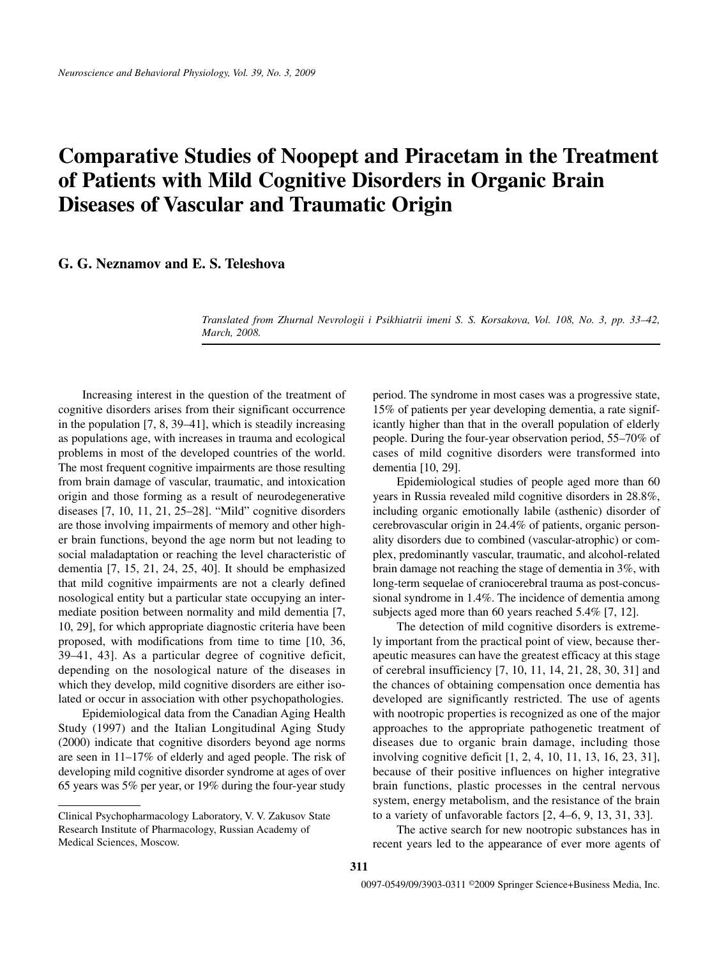# **Comparative Studies of Noopept and Piracetam in the Treatment of Patients with Mild Cognitive Disorders in Organic Brain Diseases of Vascular and Traumatic Origin**

**G. G. Neznamov and E. S. Teleshova**

*Translated from Zhurnal Nevrologii i Psikhiatrii imeni S. S. Korsakova, Vol. 108, No. 3, pp. 33–42, March, 2008.*

Increasing interest in the question of the treatment of cognitive disorders arises from their significant occurrence in the population [7, 8, 39–41], which is steadily increasing as populations age, with increases in trauma and ecological problems in most of the developed countries of the world. The most frequent cognitive impairments are those resulting from brain damage of vascular, traumatic, and intoxication origin and those forming as a result of neurodegenerative diseases [7, 10, 11, 21, 25–28]. "Mild" cognitive disorders are those involving impairments of memory and other higher brain functions, beyond the age norm but not leading to social maladaptation or reaching the level characteristic of dementia [7, 15, 21, 24, 25, 40]. It should be emphasized that mild cognitive impairments are not a clearly defined nosological entity but a particular state occupying an intermediate position between normality and mild dementia [7, 10, 29], for which appropriate diagnostic criteria have been proposed, with modifications from time to time [10, 36, 39–41, 43]. As a particular degree of cognitive deficit, depending on the nosological nature of the diseases in which they develop, mild cognitive disorders are either isolated or occur in association with other psychopathologies.

Epidemiological data from the Canadian Aging Health Study (1997) and the Italian Longitudinal Aging Study (2000) indicate that cognitive disorders beyond age norms are seen in 11–17% of elderly and aged people. The risk of developing mild cognitive disorder syndrome at ages of over 65 years was 5% per year, or 19% during the four-year study period. The syndrome in most cases was a progressive state, 15% of patients per year developing dementia, a rate significantly higher than that in the overall population of elderly people. During the four-year observation period, 55–70% of cases of mild cognitive disorders were transformed into dementia [10, 29].

Epidemiological studies of people aged more than 60 years in Russia revealed mild cognitive disorders in 28.8%, including organic emotionally labile (asthenic) disorder of cerebrovascular origin in 24.4% of patients, organic personality disorders due to combined (vascular-atrophic) or complex, predominantly vascular, traumatic, and alcohol-related brain damage not reaching the stage of dementia in 3%, with long-term sequelae of craniocerebral trauma as post-concussional syndrome in 1.4%. The incidence of dementia among subjects aged more than 60 years reached 5.4% [7, 12].

The detection of mild cognitive disorders is extremely important from the practical point of view, because therapeutic measures can have the greatest efficacy at this stage of cerebral insufficiency [7, 10, 11, 14, 21, 28, 30, 31] and the chances of obtaining compensation once dementia has developed are significantly restricted. The use of agents with nootropic properties is recognized as one of the major approaches to the appropriate pathogenetic treatment of diseases due to organic brain damage, including those involving cognitive deficit [1, 2, 4, 10, 11, 13, 16, 23, 31], because of their positive influences on higher integrative brain functions, plastic processes in the central nervous system, energy metabolism, and the resistance of the brain to a variety of unfavorable factors [2, 4–6, 9, 13, 31, 33].

The active search for new nootropic substances has in recent years led to the appearance of ever more agents of

Clinical Psychopharmacology Laboratory, V. V. Zakusov State Research Institute of Pharmacology, Russian Academy of Medical Sciences, Moscow.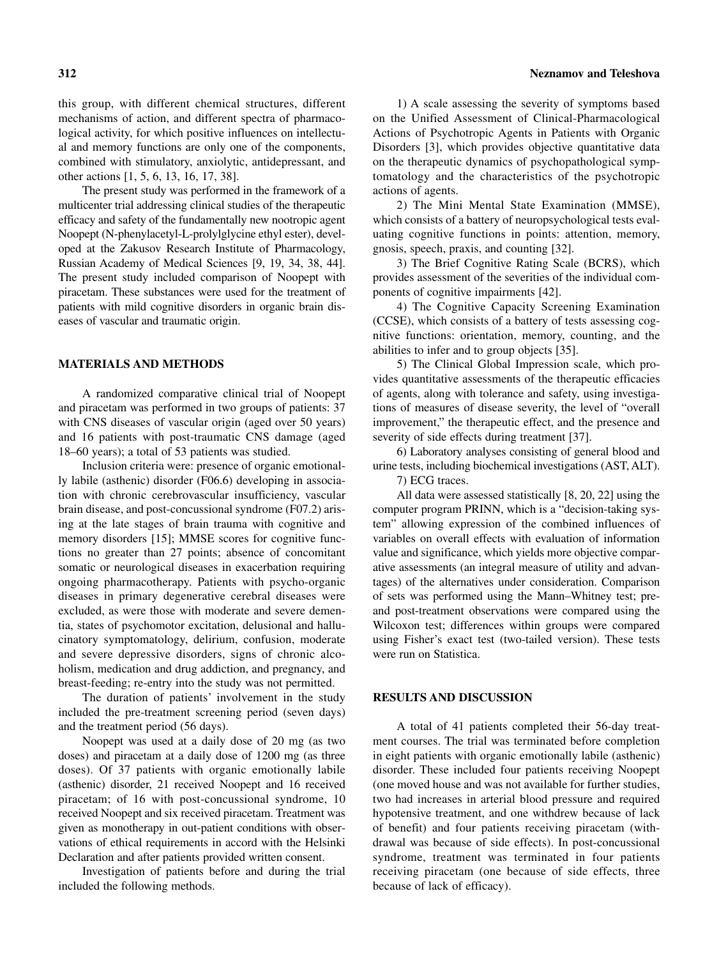this group, with different chemical structures, different mechanisms of action, and different spectra of pharmacological activity, for which positive influences on intellectual and memory functions are only one of the components, combined with stimulatory, anxiolytic, antidepressant, and other actions [1, 5, 6, 13, 16, 17, 38].

The present study was performed in the framework of a multicenter trial addressing clinical studies of the therapeutic efficacy and safety of the fundamentally new nootropic agent Noopept (N-phenylacetyl-L-prolylglycine ethyl ester), developed at the Zakusov Research Institute of Pharmacology, Russian Academy of Medical Sciences [9, 19, 34, 38, 44]. The present study included comparison of Noopept with piracetam. These substances were used for the treatment of patients with mild cognitive disorders in organic brain diseases of vascular and traumatic origin.

## **MATERIALS AND METHODS**

A randomized comparative clinical trial of Noopept and piracetam was performed in two groups of patients: 37 with CNS diseases of vascular origin (aged over 50 years) and 16 patients with post-traumatic CNS damage (aged 18–60 years); a total of 53 patients was studied.

Inclusion criteria were: presence of organic emotionally labile (asthenic) disorder (F06.6) developing in association with chronic cerebrovascular insufficiency, vascular brain disease, and post-concussional syndrome (F07.2) arising at the late stages of brain trauma with cognitive and memory disorders [15]; MMSE scores for cognitive functions no greater than 27 points; absence of concomitant somatic or neurological diseases in exacerbation requiring ongoing pharmacotherapy. Patients with psycho-organic diseases in primary degenerative cerebral diseases were excluded, as were those with moderate and severe dementia, states of psychomotor excitation, delusional and hallucinatory symptomatology, delirium, confusion, moderate and severe depressive disorders, signs of chronic alcoholism, medication and drug addiction, and pregnancy, and breast-feeding; re-entry into the study was not permitted.

The duration of patients' involvement in the study included the pre-treatment screening period (seven days) and the treatment period (56 days).

Noopept was used at a daily dose of 20 mg (as two doses) and piracetam at a daily dose of 1200 mg (as three doses). Of 37 patients with organic emotionally labile (asthenic) disorder, 21 received Noopept and 16 received piracetam; of 16 with post-concussional syndrome, 10 received Noopept and six received piracetam. Treatment was given as monotherapy in out-patient conditions with observations of ethical requirements in accord with the Helsinki Declaration and after patients provided written consent.

Investigation of patients before and during the trial included the following methods.

1) A scale assessing the severity of symptoms based on the Unified Assessment of Clinical-Pharmacological Actions of Psychotropic Agents in Patients with Organic Disorders [3], which provides objective quantitative data on the therapeutic dynamics of psychopathological symptomatology and the characteristics of the psychotropic actions of agents.

2) The Mini Mental State Examination (MMSE), which consists of a battery of neuropsychological tests evaluating cognitive functions in points: attention, memory, gnosis, speech, praxis, and counting [32].

3) The Brief Cognitive Rating Scale (BCRS), which provides assessment of the severities of the individual components of cognitive impairments [42].

4) The Cognitive Capacity Screening Examination (CCSE), which consists of a battery of tests assessing cognitive functions: orientation, memory, counting, and the abilities to infer and to group objects [35].

5) The Clinical Global Impression scale, which provides quantitative assessments of the therapeutic efficacies of agents, along with tolerance and safety, using investigations of measures of disease severity, the level of "overall improvement," the therapeutic effect, and the presence and severity of side effects during treatment [37].

6) Laboratory analyses consisting of general blood and urine tests, including biochemical investigations (AST, ALT).

7) ECG traces.

All data were assessed statistically [8, 20, 22] using the computer program PRINN, which is a "decision-taking system" allowing expression of the combined influences of variables on overall effects with evaluation of information value and significance, which yields more objective comparative assessments (an integral measure of utility and advantages) of the alternatives under consideration. Comparison of sets was performed using the Mann–Whitney test; preand post-treatment observations were compared using the Wilcoxon test; differences within groups were compared using Fisher's exact test (two-tailed version). These tests were run on Statistica.

## **RESULTS AND DISCUSSION**

A total of 41 patients completed their 56-day treatment courses. The trial was terminated before completion in eight patients with organic emotionally labile (asthenic) disorder. These included four patients receiving Noopept (one moved house and was not available for further studies, two had increases in arterial blood pressure and required hypotensive treatment, and one withdrew because of lack of benefit) and four patients receiving piracetam (withdrawal was because of side effects). In post-concussional syndrome, treatment was terminated in four patients receiving piracetam (one because of side effects, three because of lack of efficacy).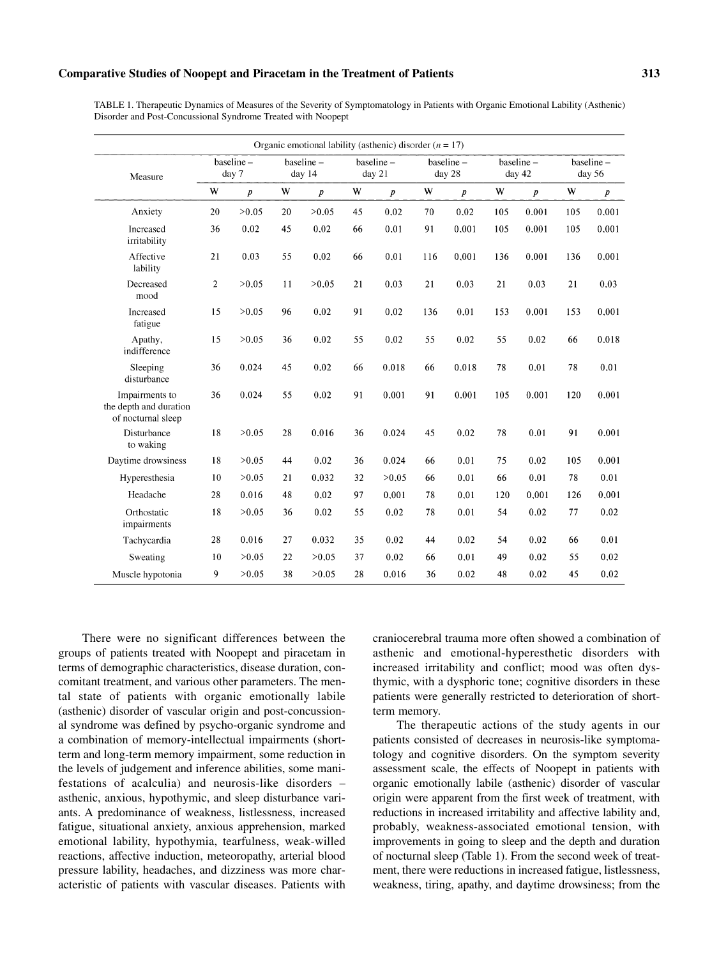|                                                                |                       |                  |                     | Organic emotional lability (asthenic) disorder $(n = 17)$ |                     |                  |                     |                  |                     |                  |                     |                  |
|----------------------------------------------------------------|-----------------------|------------------|---------------------|-----------------------------------------------------------|---------------------|------------------|---------------------|------------------|---------------------|------------------|---------------------|------------------|
| Measure                                                        | $baseline -$<br>day 7 |                  | baseline-<br>day 14 |                                                           | baseline-<br>day 21 |                  | baseline-<br>day 28 |                  | baseline-<br>day 42 |                  | baseline-<br>day 56 |                  |
|                                                                | W                     | $\boldsymbol{p}$ | W                   | $\boldsymbol{p}$                                          | W                   | $\boldsymbol{p}$ | W                   | $\boldsymbol{p}$ | W                   | $\boldsymbol{p}$ | W                   | $\boldsymbol{p}$ |
| Anxiety                                                        | 20                    | >0.05            | 20                  | >0.05                                                     | 45                  | 0.02             | 70                  | 0.02             | 105                 | 0.001            | 105                 | 0.001            |
| Increased<br>irritability                                      | 36                    | 0.02             | 45                  | 0,02                                                      | 66                  | 0.01             | 91                  | 0.001            | 105                 | 0.001            | 105                 | 0.001            |
| Affective<br>lability                                          | 21                    | 0.03             | 55                  | 0.02                                                      | 66                  | 0,01             | 116                 | 0.001            | 136                 | 0.001            | 136                 | 0.001            |
| Decreased<br>mood                                              | $\overline{2}$        | >0.05            | 11                  | >0.05                                                     | 21                  | 0,03             | 21                  | 0.03             | 21                  | 0,03             | 21                  | 0,03             |
| Increased<br>fatigue                                           | 15                    | >0.05            | 96                  | 0.02                                                      | 91                  | 0,02             | 136                 | 0.01             | 153                 | 0.001            | 153                 | 0,001            |
| Apathy,<br>indifference                                        | 15                    | >0.05            | 36                  | 0.02                                                      | 55                  | 0.02             | 55                  | 0.02             | 55                  | 0.02             | 66                  | 0.018            |
| Sleeping<br>disturbance                                        | 36                    | 0.024            | 45                  | 0.02                                                      | 66                  | 0.018            | 66                  | 0.018            | 78                  | 0.01             | 78                  | 0.01             |
| Impairments to<br>the depth and duration<br>of nocturnal sleep | 36                    | 0.024            | 55                  | 0.02                                                      | 91                  | 0.001            | 91                  | 0.001            | 105                 | 0.001            | 120                 | 0.001            |
| Disturbance<br>to waking                                       | 18                    | >0.05            | 28                  | 0.016                                                     | 36                  | 0.024            | 45                  | 0.02             | 78                  | 0.01             | 91                  | 0,001            |
| Daytime drowsiness                                             | 18                    | >0.05            | 44                  | 0.02                                                      | 36                  | 0.024            | 66                  | 0.01             | 75                  | 0.02             | 105                 | 0.001            |
| Hyperesthesia                                                  | 10                    | >0.05            | 21                  | 0.032                                                     | 32                  | >0.05            | 66                  | 0.01             | 66                  | 0.01             | 78                  | 0.01             |
| Headache                                                       | 28                    | 0.016            | 48                  | 0.02                                                      | 97                  | 0.001            | 78                  | 0.01             | 120                 | 0.001            | 126                 | 0.001            |
| Orthostatic<br>impairments                                     | 18                    | >0.05            | 36                  | 0.02                                                      | 55                  | 0,02             | 78                  | 0.01             | 54                  | 0.02             | 77                  | 0.02             |
| Tachycardia                                                    | 28                    | 0.016            | 27                  | 0.032                                                     | 35                  | 0,02             | 44                  | 0.02             | 54                  | 0.02             | 66                  | 0.01             |
| Sweating                                                       | 10                    | >0.05            | 22                  | >0.05                                                     | 37                  | 0.02             | 66                  | 0.01             | 49                  | 0.02             | 55                  | 0.02             |
| Muscle hypotonia                                               | 9                     | >0.05            | 38                  | >0.05                                                     | 28                  | 0.016            | 36                  | 0.02             | 48                  | 0.02             | 45                  | 0,02             |

TABLE 1. Therapeutic Dynamics of Measures of the Severity of Symptomatology in Patients with Organic Emotional Lability (Asthenic) Disorder and Post-Concussional Syndrome Treated with Noopept

There were no significant differences between the groups of patients treated with Noopept and piracetam in terms of demographic characteristics, disease duration, concomitant treatment, and various other parameters. The mental state of patients with organic emotionally labile (asthenic) disorder of vascular origin and post-concussional syndrome was defined by psycho-organic syndrome and a combination of memory-intellectual impairments (shortterm and long-term memory impairment, some reduction in the levels of judgement and inference abilities, some manifestations of acalculia) and neurosis-like disorders – asthenic, anxious, hypothymic, and sleep disturbance variants. A predominance of weakness, listlessness, increased fatigue, situational anxiety, anxious apprehension, marked emotional lability, hypothymia, tearfulness, weak-willed reactions, affective induction, meteoropathy, arterial blood pressure lability, headaches, and dizziness was more characteristic of patients with vascular diseases. Patients with craniocerebral trauma more often showed a combination of asthenic and emotional-hyperesthetic disorders with increased irritability and conflict; mood was often dysthymic, with a dysphoric tone; cognitive disorders in these patients were generally restricted to deterioration of shortterm memory.

The therapeutic actions of the study agents in our patients consisted of decreases in neurosis-like symptomatology and cognitive disorders. On the symptom severity assessment scale, the effects of Noopept in patients with organic emotionally labile (asthenic) disorder of vascular origin were apparent from the first week of treatment, with reductions in increased irritability and affective lability and, probably, weakness-associated emotional tension, with improvements in going to sleep and the depth and duration of nocturnal sleep (Table 1). From the second week of treatment, there were reductions in increased fatigue, listlessness, weakness, tiring, apathy, and daytime drowsiness; from the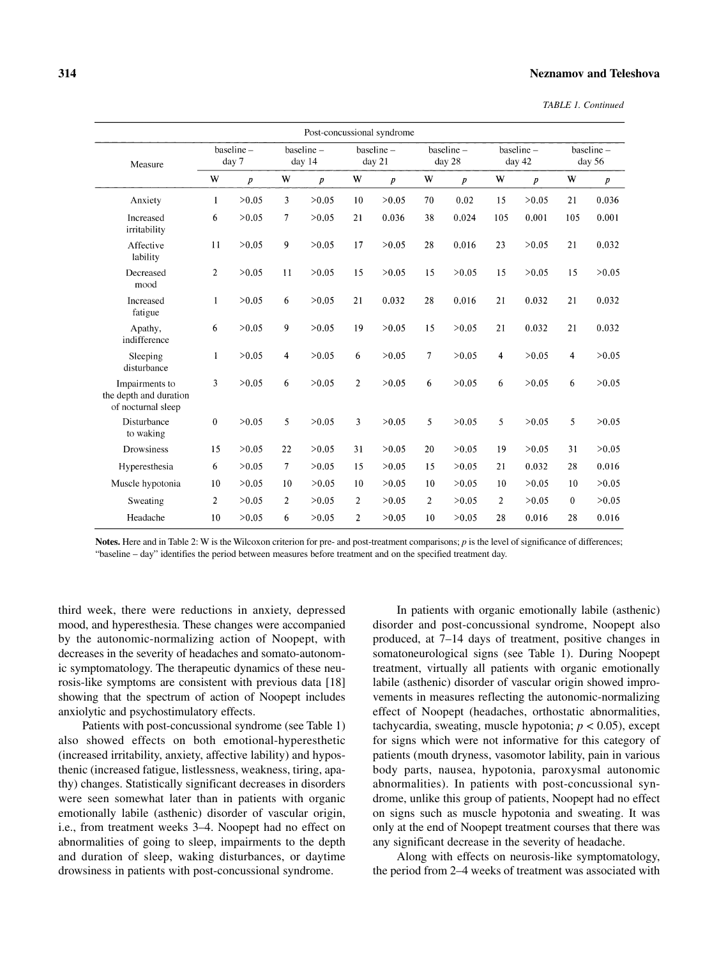|                                                                |                       |                  |                      |                  |                        | Post-concussional syndrome |                        |                  |                        |                  |                        |                  |
|----------------------------------------------------------------|-----------------------|------------------|----------------------|------------------|------------------------|----------------------------|------------------------|------------------|------------------------|------------------|------------------------|------------------|
| Measure                                                        | $baseline -$<br>day 7 |                  | baseline -<br>day 14 |                  | $baseline -$<br>day 21 |                            | $baseline -$<br>day 28 |                  | $baseline -$<br>day 42 |                  | baseline -<br>day $56$ |                  |
|                                                                | W                     | $\boldsymbol{p}$ | W                    | $\boldsymbol{p}$ | W                      | $\boldsymbol{p}$           | W                      | $\boldsymbol{p}$ | W                      | $\boldsymbol{p}$ | W                      | $\boldsymbol{p}$ |
| Anxiety                                                        | $\mathbf{1}$          | >0.05            | 3                    | >0.05            | 10                     | >0.05                      | 70                     | 0.02             | 15                     | >0.05            | 21                     | 0.036            |
| Increased<br>irritability                                      | 6                     | >0.05            | 7                    | >0.05            | 21                     | 0.036                      | 38                     | 0.024            | 105                    | 0.001            | 105                    | 0.001            |
| Affective<br>lability                                          | 11                    | >0.05            | 9                    | >0.05            | 17                     | >0.05                      | 28                     | 0.016            | 23                     | >0.05            | 21                     | 0.032            |
| Decreased<br>mood                                              | $\overline{2}$        | >0.05            | 11                   | >0.05            | 15                     | >0.05                      | 15                     | >0.05            | 15                     | >0.05            | 15                     | >0.05            |
| Increased<br>fatigue                                           | 1                     | >0.05            | 6                    | >0,05            | 21                     | 0.032                      | 28                     | 0,016            | 21                     | 0.032            | 21                     | 0.032            |
| Apathy,<br>indifference                                        | 6                     | >0.05            | 9                    | >0.05            | 19                     | >0.05                      | 15                     | >0.05            | 21                     | 0.032            | 21                     | 0.032            |
| Sleeping<br>disturbance                                        | 1                     | >0.05            | 4                    | >0.05            | 6                      | >0.05                      | $\tau$                 | >0.05            | $\overline{4}$         | >0.05            | 4                      | >0.05            |
| Impairments to<br>the depth and duration<br>of nocturnal sleep | 3                     | >0.05            | 6                    | >0.05            | $\overline{2}$         | >0.05                      | 6                      | >0.05            | 6                      | >0.05            | 6                      | >0.05            |
| Disturbance<br>to waking                                       | $\bf{0}$              | >0.05            | 5                    | >0.05            | 3                      | >0.05                      | 5                      | >0.05            | 5                      | >0.05            | 5                      | >0.05            |
| Drowsiness                                                     | 15                    | >0.05            | 22                   | >0.05            | 31                     | >0.05                      | 20                     | >0.05            | 19                     | >0.05            | 31                     | >0.05            |
| Hyperesthesia                                                  | 6                     | >0.05            | $\overline{7}$       | >0.05            | 15                     | >0.05                      | 15                     | >0.05            | 21                     | 0.032            | 28                     | 0.016            |
| Muscle hypotonia                                               | 10                    | >0.05            | 10                   | >0.05            | 10                     | >0.05                      | 10                     | >0.05            | 10                     | >0.05            | 10                     | >0.05            |
| Sweating                                                       | $\overline{2}$        | >0.05            | $\overline{c}$       | >0.05            | $\overline{2}$         | >0.05                      | $\overline{2}$         | >0.05            | $\overline{c}$         | >0.05            | $\mathbf{0}$           | >0.05            |
| Headache                                                       | 10                    | >0.05            | 6                    | >0.05            | $\overline{2}$         | >0.05                      | 10                     | >0.05            | 28                     | 0.016            | 28                     | 0.016            |

*TABLE 1. Continued*

**Notes.** Here and in Table 2: W is the Wilcoxon criterion for pre- and post-treatment comparisons; *p* is the level of significance of differences; "baseline – day" identifies the period between measures before treatment and on the specified treatment day.

third week, there were reductions in anxiety, depressed mood, and hyperesthesia. These changes were accompanied by the autonomic-normalizing action of Noopept, with decreases in the severity of headaches and somato-autonomic symptomatology. The therapeutic dynamics of these neurosis-like symptoms are consistent with previous data [18] showing that the spectrum of action of Noopept includes anxiolytic and psychostimulatory effects.

Patients with post-concussional syndrome (see Table 1) also showed effects on both emotional-hyperesthetic (increased irritability, anxiety, affective lability) and hyposthenic (increased fatigue, listlessness, weakness, tiring, apathy) changes. Statistically significant decreases in disorders were seen somewhat later than in patients with organic emotionally labile (asthenic) disorder of vascular origin, i.e., from treatment weeks 3–4. Noopept had no effect on abnormalities of going to sleep, impairments to the depth and duration of sleep, waking disturbances, or daytime drowsiness in patients with post-concussional syndrome.

In patients with organic emotionally labile (asthenic) disorder and post-concussional syndrome, Noopept also produced, at 7–14 days of treatment, positive changes in somatoneurological signs (see Table 1). During Noopept treatment, virtually all patients with organic emotionally labile (asthenic) disorder of vascular origin showed improvements in measures reflecting the autonomic-normalizing effect of Noopept (headaches, orthostatic abnormalities, tachycardia, sweating, muscle hypotonia;  $p < 0.05$ ), except for signs which were not informative for this category of patients (mouth dryness, vasomotor lability, pain in various body parts, nausea, hypotonia, paroxysmal autonomic abnormalities). In patients with post-concussional syndrome, unlike this group of patients, Noopept had no effect on signs such as muscle hypotonia and sweating. It was only at the end of Noopept treatment courses that there was any significant decrease in the severity of headache.

Along with effects on neurosis-like symptomatology, the period from 2–4 weeks of treatment was associated with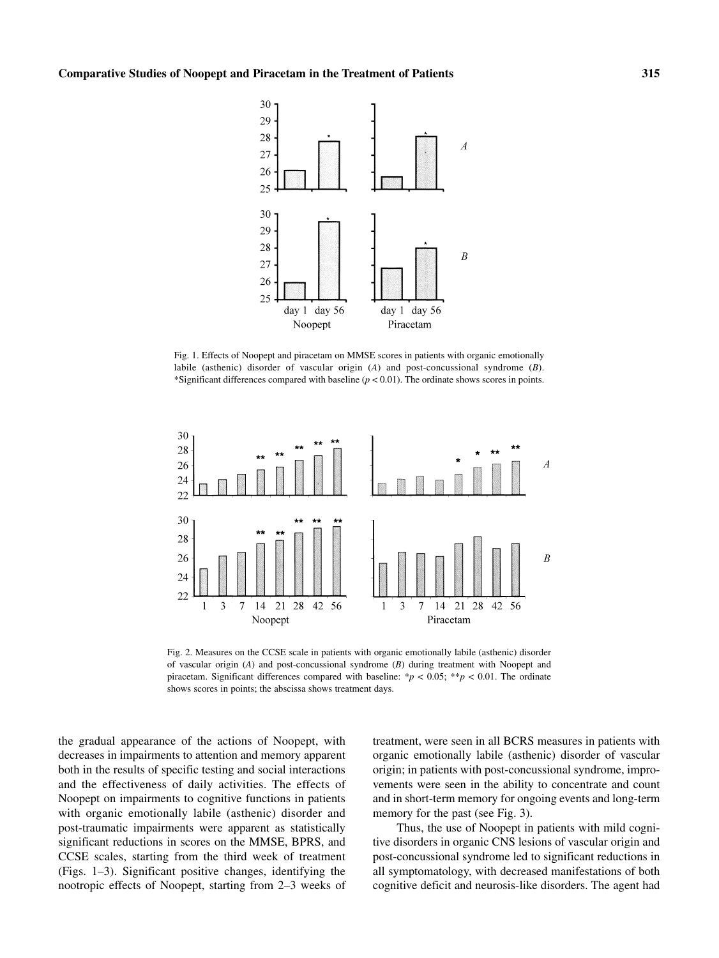

Fig. 1. Effects of Noopept and piracetam on MMSE scores in patients with organic emotionally labile (asthenic) disorder of vascular origin (*A*) and post-concussional syndrome (*B*). \*Significant differences compared with baseline (*p* < 0.01). The ordinate shows scores in points.



Fig. 2. Measures on the CCSE scale in patients with organic emotionally labile (asthenic) disorder of vascular origin (*A*) and post-concussional syndrome (*B*) during treatment with Noopept and piracetam. Significant differences compared with baseline:  $*p < 0.05$ ;  $* p < 0.01$ . The ordinate shows scores in points; the abscissa shows treatment days.

the gradual appearance of the actions of Noopept, with decreases in impairments to attention and memory apparent both in the results of specific testing and social interactions and the effectiveness of daily activities. The effects of Noopept on impairments to cognitive functions in patients with organic emotionally labile (asthenic) disorder and post-traumatic impairments were apparent as statistically significant reductions in scores on the MMSE, BPRS, and CCSE scales, starting from the third week of treatment (Figs. 1–3). Significant positive changes, identifying the nootropic effects of Noopept, starting from 2–3 weeks of treatment, were seen in all BCRS measures in patients with organic emotionally labile (asthenic) disorder of vascular origin; in patients with post-concussional syndrome, improvements were seen in the ability to concentrate and count and in short-term memory for ongoing events and long-term memory for the past (see Fig. 3).

Thus, the use of Noopept in patients with mild cognitive disorders in organic CNS lesions of vascular origin and post-concussional syndrome led to significant reductions in all symptomatology, with decreased manifestations of both cognitive deficit and neurosis-like disorders. The agent had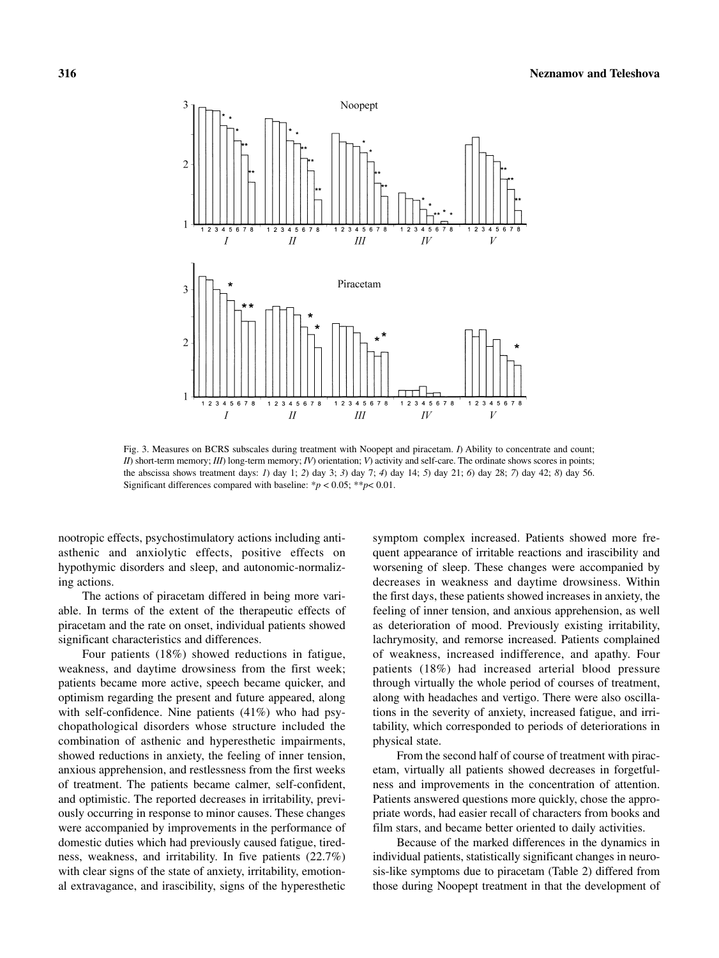

Fig. 3. Measures on BCRS subscales during treatment with Noopept and piracetam. *I*) Ability to concentrate and count; *II*) short-term memory; *III*) long-term memory; *IV*) orientation; *V*) activity and self-care. The ordinate shows scores in points; the abscissa shows treatment days: *1*) day 1; *2*) day 3; *3*) day 7; *4*) day 14; *5*) day 21; *6*) day 28; *7*) day 42; *8*) day 56. Significant differences compared with baseline:  $*p < 0.05$ ;  $**p < 0.01$ .

nootropic effects, psychostimulatory actions including antiasthenic and anxiolytic effects, positive effects on hypothymic disorders and sleep, and autonomic-normalizing actions.

The actions of piracetam differed in being more variable. In terms of the extent of the therapeutic effects of piracetam and the rate on onset, individual patients showed significant characteristics and differences.

Four patients (18%) showed reductions in fatigue, weakness, and daytime drowsiness from the first week; patients became more active, speech became quicker, and optimism regarding the present and future appeared, along with self-confidence. Nine patients (41%) who had psychopathological disorders whose structure included the combination of asthenic and hyperesthetic impairments, showed reductions in anxiety, the feeling of inner tension, anxious apprehension, and restlessness from the first weeks of treatment. The patients became calmer, self-confident, and optimistic. The reported decreases in irritability, previously occurring in response to minor causes. These changes were accompanied by improvements in the performance of domestic duties which had previously caused fatigue, tiredness, weakness, and irritability. In five patients (22.7%) with clear signs of the state of anxiety, irritability, emotional extravagance, and irascibility, signs of the hyperesthetic

symptom complex increased. Patients showed more frequent appearance of irritable reactions and irascibility and worsening of sleep. These changes were accompanied by decreases in weakness and daytime drowsiness. Within the first days, these patients showed increases in anxiety, the feeling of inner tension, and anxious apprehension, as well as deterioration of mood. Previously existing irritability, lachrymosity, and remorse increased. Patients complained of weakness, increased indifference, and apathy. Four patients (18%) had increased arterial blood pressure through virtually the whole period of courses of treatment, along with headaches and vertigo. There were also oscillations in the severity of anxiety, increased fatigue, and irritability, which corresponded to periods of deteriorations in physical state.

From the second half of course of treatment with piracetam, virtually all patients showed decreases in forgetfulness and improvements in the concentration of attention. Patients answered questions more quickly, chose the appropriate words, had easier recall of characters from books and film stars, and became better oriented to daily activities.

Because of the marked differences in the dynamics in individual patients, statistically significant changes in neurosis-like symptoms due to piracetam (Table 2) differed from those during Noopept treatment in that the development of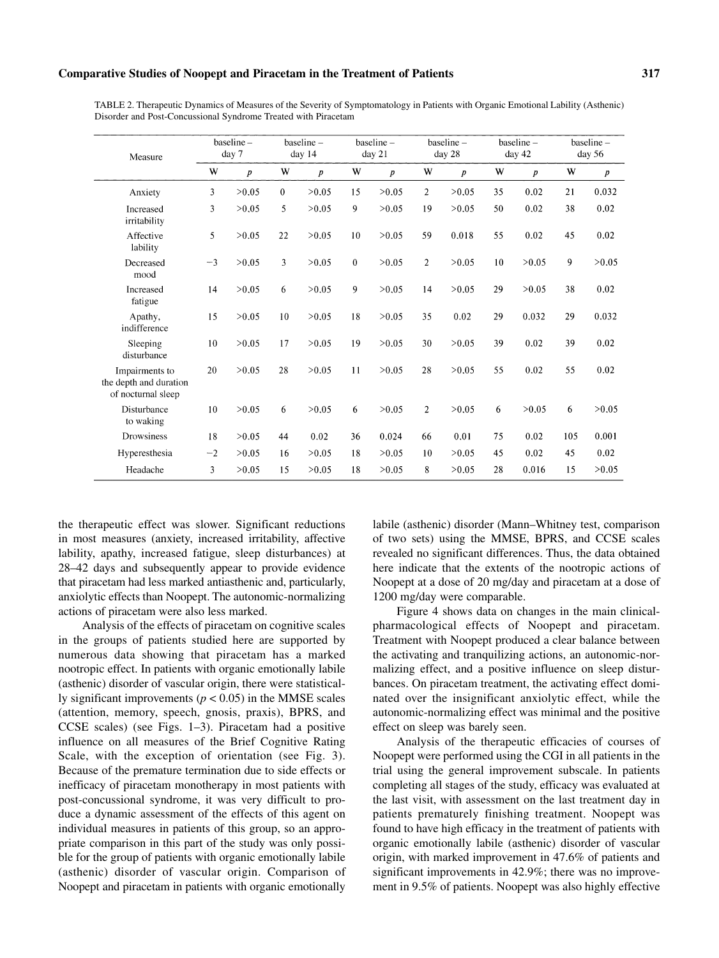TABLE 2. Therapeutic Dynamics of Measures of the Severity of Symptomatology in Patients with Organic Emotional Lability (Asthenic) Disorder and Post-Concussional Syndrome Treated with Piracetam

| Measure                                                        | baseline-<br>day 7 |                  | $baseline -$<br>day 14 |                  | baseline -<br>day 21 |                  | baseline -<br>day 28 |                  | $baseline -$<br>day 42 |                  | baseline -<br>day 56 |       |
|----------------------------------------------------------------|--------------------|------------------|------------------------|------------------|----------------------|------------------|----------------------|------------------|------------------------|------------------|----------------------|-------|
|                                                                | W                  | $\boldsymbol{p}$ | W                      | $\boldsymbol{p}$ | W                    | $\boldsymbol{p}$ | W                    | $\boldsymbol{p}$ | W                      | $\boldsymbol{p}$ | W                    | p     |
| Anxiety                                                        | 3                  | >0.05            | $\mathbf{0}$           | >0.05            | 15                   | >0.05            | $\overline{2}$       | >0.05            | 35                     | 0.02             | 21                   | 0.032 |
| Increased<br>irritability                                      | 3                  | >0.05            | 5                      | >0.05            | 9                    | >0.05            | 19                   | >0.05            | 50                     | 0.02             | 38                   | 0.02  |
| Affective<br>lability                                          | 5                  | >0.05            | 22                     | >0.05            | 10                   | >0.05            | 59                   | 0.018            | 55                     | 0.02             | 45                   | 0.02  |
| Decreased<br>mood                                              | $-3$               | >0.05            | 3                      | >0.05            | $\mathbf{0}$         | >0.05            | $\overline{2}$       | >0.05            | 10                     | >0.05            | 9                    | >0.05 |
| Increased<br>fatigue                                           | 14                 | >0.05            | 6                      | >0.05            | 9                    | >0.05            | 14                   | >0.05            | 29                     | >0.05            | 38                   | 0.02  |
| Apathy,<br>indifference                                        | 15                 | >0.05            | 10                     | >0.05            | 18                   | >0.05            | 35                   | 0.02             | 29                     | 0.032            | 29                   | 0.032 |
| Sleeping<br>disturbance                                        | 10                 | >0.05            | 17                     | >0.05            | 19                   | >0.05            | 30                   | >0.05            | 39                     | 0.02             | 39                   | 0.02  |
| Impairments to<br>the depth and duration<br>of nocturnal sleep | 20                 | >0.05            | 28                     | >0.05            | 11                   | >0.05            | 28                   | >0.05            | 55                     | 0.02             | 55                   | 0.02  |
| Disturbance<br>to waking                                       | 10                 | >0.05            | 6                      | >0.05            | 6                    | >0.05            | 2                    | >0.05            | 6                      | >0.05            | 6                    | >0.05 |
| Drowsiness                                                     | 18                 | >0.05            | 44                     | 0.02             | 36                   | 0.024            | 66                   | 0.01             | 75                     | 0.02             | 105                  | 0.001 |
| Hyperesthesia                                                  | $-2$               | >0.05            | 16                     | >0.05            | 18                   | >0.05            | 10                   | >0.05            | 45                     | 0.02             | 45                   | 0.02  |
| Headache                                                       | 3                  | >0.05            | 15                     | >0.05            | 18                   | >0.05            | 8                    | >0.05            | 28                     | 0.016            | 15                   | >0.05 |

the therapeutic effect was slower. Significant reductions in most measures (anxiety, increased irritability, affective lability, apathy, increased fatigue, sleep disturbances) at 28–42 days and subsequently appear to provide evidence that piracetam had less marked antiasthenic and, particularly, anxiolytic effects than Noopept. The autonomic-normalizing actions of piracetam were also less marked.

Analysis of the effects of piracetam on cognitive scales in the groups of patients studied here are supported by numerous data showing that piracetam has a marked nootropic effect. In patients with organic emotionally labile (asthenic) disorder of vascular origin, there were statistically significant improvements ( $p < 0.05$ ) in the MMSE scales (attention, memory, speech, gnosis, praxis), BPRS, and CCSE scales) (see Figs. 1–3). Piracetam had a positive influence on all measures of the Brief Cognitive Rating Scale, with the exception of orientation (see Fig. 3). Because of the premature termination due to side effects or inefficacy of piracetam monotherapy in most patients with post-concussional syndrome, it was very difficult to produce a dynamic assessment of the effects of this agent on individual measures in patients of this group, so an appropriate comparison in this part of the study was only possible for the group of patients with organic emotionally labile (asthenic) disorder of vascular origin. Comparison of Noopept and piracetam in patients with organic emotionally

labile (asthenic) disorder (Mann–Whitney test, comparison of two sets) using the MMSE, BPRS, and CCSE scales revealed no significant differences. Thus, the data obtained here indicate that the extents of the nootropic actions of Noopept at a dose of 20 mg/day and piracetam at a dose of 1200 mg/day were comparable.

Figure 4 shows data on changes in the main clinicalpharmacological effects of Noopept and piracetam. Treatment with Noopept produced a clear balance between the activating and tranquilizing actions, an autonomic-normalizing effect, and a positive influence on sleep disturbances. On piracetam treatment, the activating effect dominated over the insignificant anxiolytic effect, while the autonomic-normalizing effect was minimal and the positive effect on sleep was barely seen.

Analysis of the therapeutic efficacies of courses of Noopept were performed using the CGI in all patients in the trial using the general improvement subscale. In patients completing all stages of the study, efficacy was evaluated at the last visit, with assessment on the last treatment day in patients prematurely finishing treatment. Noopept was found to have high efficacy in the treatment of patients with organic emotionally labile (asthenic) disorder of vascular origin, with marked improvement in 47.6% of patients and significant improvements in 42.9%; there was no improvement in 9.5% of patients. Noopept was also highly effective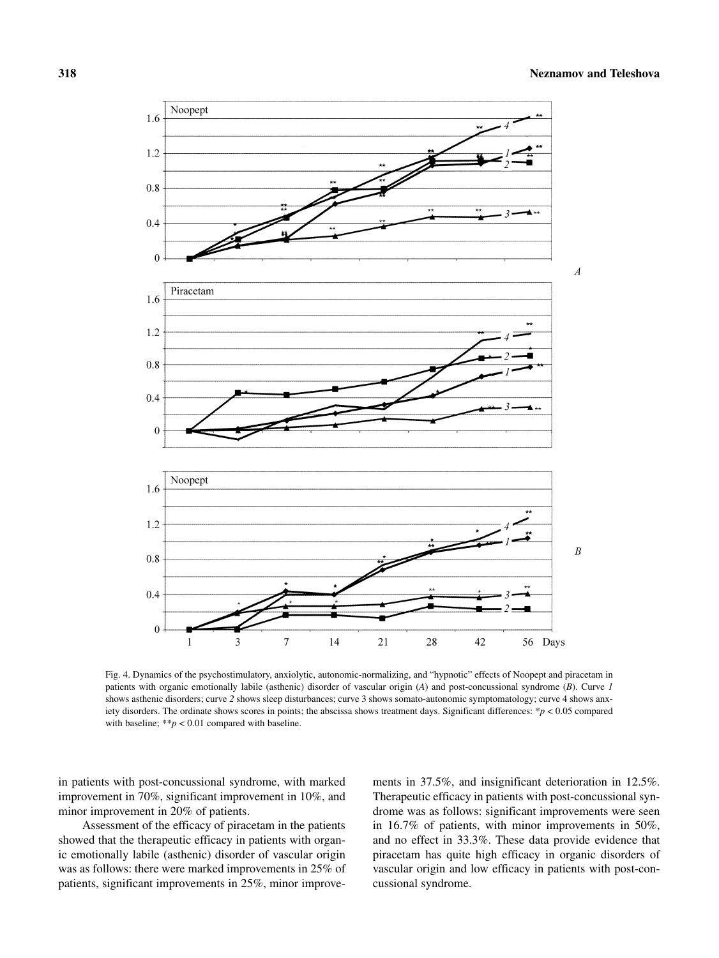

Fig. 4. Dynamics of the psychostimulatory, anxiolytic, autonomic-normalizing, and "hypnotic" effects of Noopept and piracetam in patients with organic emotionally labile (asthenic) disorder of vascular origin (*A*) and post-concussional syndrome (*B*). Curve *1* shows asthenic disorders; curve *2* shows sleep disturbances; curve 3 shows somato-autonomic symptomatology; curve 4 shows anxiety disorders. The ordinate shows scores in points; the abscissa shows treatment days. Significant differences: \**p* < 0.05 compared with baseline;  $**p < 0.01$  compared with baseline.

in patients with post-concussional syndrome, with marked improvement in 70%, significant improvement in 10%, and minor improvement in 20% of patients.

Assessment of the efficacy of piracetam in the patients showed that the therapeutic efficacy in patients with organic emotionally labile (asthenic) disorder of vascular origin was as follows: there were marked improvements in 25% of patients, significant improvements in 25%, minor improvements in 37.5%, and insignificant deterioration in 12.5%. Therapeutic efficacy in patients with post-concussional syndrome was as follows: significant improvements were seen in 16.7% of patients, with minor improvements in 50%, and no effect in 33.3%. These data provide evidence that piracetam has quite high efficacy in organic disorders of vascular origin and low efficacy in patients with post-concussional syndrome.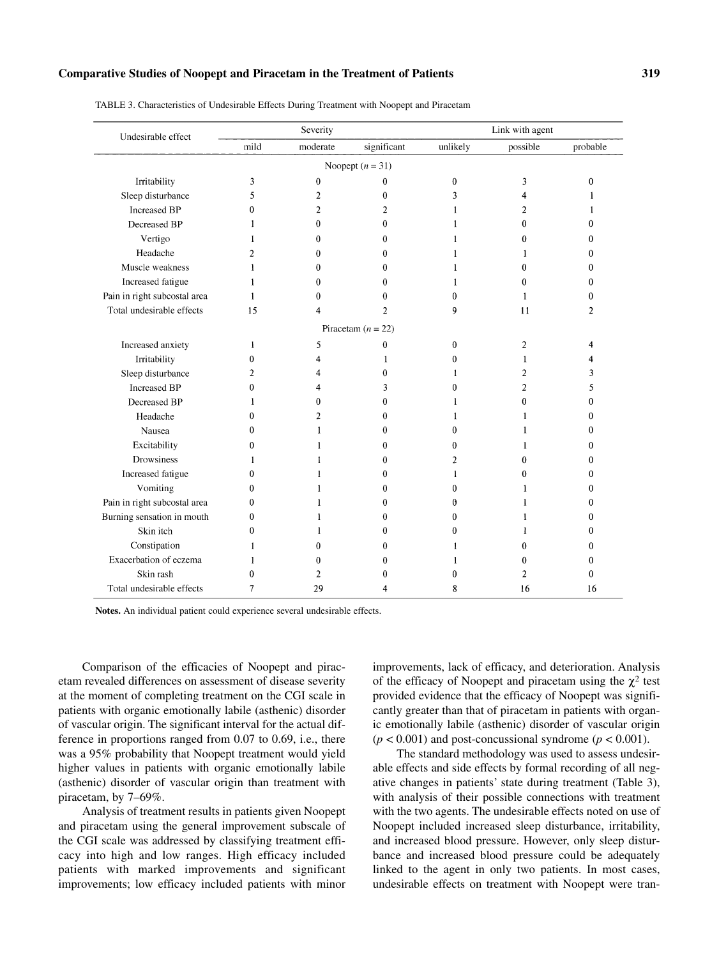| Undesirable effect           |                | Severity       |                | Link with agent |              |                |  |  |  |  |  |
|------------------------------|----------------|----------------|----------------|-----------------|--------------|----------------|--|--|--|--|--|
|                              | mild           | moderate       | significant    | unlikely        | possible     | probable       |  |  |  |  |  |
| Noopept $(n = 31)$           |                |                |                |                 |              |                |  |  |  |  |  |
| Irritability                 | 3              | $\bf{0}$       | $\mathbf{0}$   | $\bf{0}$        | 3            | $\bf{0}$       |  |  |  |  |  |
| Sleep disturbance            | 5              | 2              | $\theta$       | 3               | 4            | 1              |  |  |  |  |  |
| <b>Increased BP</b>          | $\theta$       | $\overline{2}$ | 2              | 1               | 2            | 1              |  |  |  |  |  |
| Decreased BP                 |                | $\bf{0}$       | $\mathbf{0}$   | 1               | 0            | 0              |  |  |  |  |  |
| Vertigo                      | L              | 0              | $\mathbf{0}$   | 1               | 0            | 0              |  |  |  |  |  |
| Headache                     | 2              | 0              | $\theta$       | 1               | 1            | 0              |  |  |  |  |  |
| Muscle weakness              | 1              | $\theta$       | $\theta$       | 1               | 0            | 0              |  |  |  |  |  |
| Increased fatigue            | T.             | 0              | 0              | 1               | 0            | 0              |  |  |  |  |  |
| Pain in right subcostal area | 1              | 0              | 0              | $\mathbf{0}$    | 1            | 0              |  |  |  |  |  |
| Total undesirable effects    | 15             | 4              | $\overline{2}$ | 9               | 11           | $\overline{2}$ |  |  |  |  |  |
| Piracetam $(n = 22)$         |                |                |                |                 |              |                |  |  |  |  |  |
| Increased anxiety            | 1              | 5              | $\mathbf{0}$   | 0               | 2            | 4              |  |  |  |  |  |
| Irritability                 | $\Omega$       | 4              | 1              | 0               | 1            | 4              |  |  |  |  |  |
| Sleep disturbance            | $\overline{2}$ | 4              | $\theta$       | 1               | 2            | 3              |  |  |  |  |  |
| <b>Increased BP</b>          | 0              | 4              | 3              | $\mathbf{0}$    | 2            | 5              |  |  |  |  |  |
| Decreased BP                 | Ŧ              | 0              | $\bf{0}$       | 1               | 0            | 0              |  |  |  |  |  |
| Headache                     | $\Omega$       | 2              | $\Omega$       | 1               | 1            | 0              |  |  |  |  |  |
| Nausea                       | 0              | 1              | $\Omega$       | 0               | 1            | 0              |  |  |  |  |  |
| Excitability                 | 0              | 1              | 0              | $\bf{0}$        | 1            | 0              |  |  |  |  |  |
| <b>Drowsiness</b>            | 1              | 1              | $\Omega$       | $\overline{2}$  | 0            | 0              |  |  |  |  |  |
| Increased fatigue            | $\Omega$       | 1              | $\mathbf{0}$   | 1               | $\mathbf{0}$ | 0              |  |  |  |  |  |
| Vomiting                     | $\Omega$       | 1              | $\theta$       | $\theta$        | 1            | 0              |  |  |  |  |  |
| Pain in right subcostal area | $\bf{0}$       | ı              | 0              | 0               | 1            | 0              |  |  |  |  |  |
| Burning sensation in mouth   | $\theta$       | ı.             | $\Omega$       | $\bf{0}$        | 1            | 0              |  |  |  |  |  |
| Skin itch                    | $\theta$       | 1              | 0              | 0               | 1            | 0              |  |  |  |  |  |
| Constipation                 | 1              | 0              | $\theta$       | 1               | 0            | 0              |  |  |  |  |  |
| Exacerbation of eczema       | ı              | 0              | 0              | 1               | 0            | 0              |  |  |  |  |  |
| Skin rash                    | 0              | 2              | 0              | 0               | 2            | 0              |  |  |  |  |  |
| Total undesirable effects    | $\overline{7}$ | 29             | 4              | 8               | 16           | 16             |  |  |  |  |  |

TABLE 3. Characteristics of Undesirable Effects During Treatment with Noopept and Piracetam

**Notes.** An individual patient could experience several undesirable effects.

Comparison of the efficacies of Noopept and piracetam revealed differences on assessment of disease severity at the moment of completing treatment on the CGI scale in patients with organic emotionally labile (asthenic) disorder of vascular origin. The significant interval for the actual difference in proportions ranged from 0.07 to 0.69, i.e., there was a 95% probability that Noopept treatment would yield higher values in patients with organic emotionally labile (asthenic) disorder of vascular origin than treatment with piracetam, by 7–69%.

Analysis of treatment results in patients given Noopept and piracetam using the general improvement subscale of the CGI scale was addressed by classifying treatment efficacy into high and low ranges. High efficacy included patients with marked improvements and significant improvements; low efficacy included patients with minor

improvements, lack of efficacy, and deterioration. Analysis of the efficacy of Noopept and piracetam using the  $\chi^2$  test provided evidence that the efficacy of Noopept was significantly greater than that of piracetam in patients with organic emotionally labile (asthenic) disorder of vascular origin  $(p < 0.001)$  and post-concussional syndrome  $(p < 0.001)$ .

The standard methodology was used to assess undesirable effects and side effects by formal recording of all negative changes in patients' state during treatment (Table 3), with analysis of their possible connections with treatment with the two agents. The undesirable effects noted on use of Noopept included increased sleep disturbance, irritability, and increased blood pressure. However, only sleep disturbance and increased blood pressure could be adequately linked to the agent in only two patients. In most cases, undesirable effects on treatment with Noopept were tran-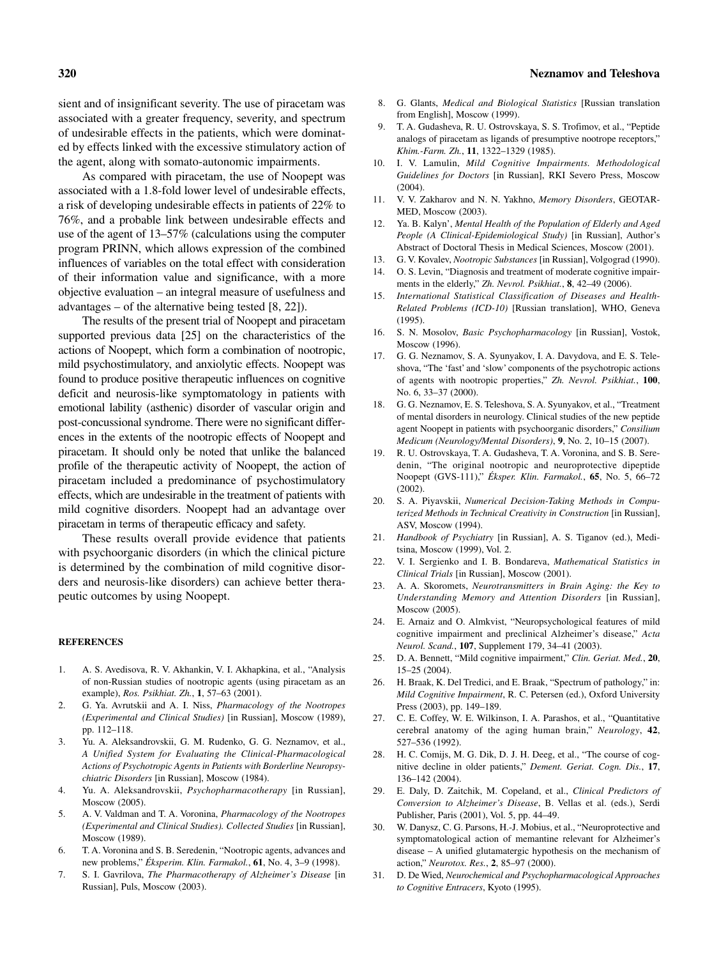### **320 Neznamov and Teleshova**

sient and of insignificant severity. The use of piracetam was associated with a greater frequency, severity, and spectrum of undesirable effects in the patients, which were dominated by effects linked with the excessive stimulatory action of the agent, along with somato-autonomic impairments.

As compared with piracetam, the use of Noopept was associated with a 1.8-fold lower level of undesirable effects, a risk of developing undesirable effects in patients of 22% to 76%, and a probable link between undesirable effects and use of the agent of 13–57% (calculations using the computer program PRINN, which allows expression of the combined influences of variables on the total effect with consideration of their information value and significance, with a more objective evaluation – an integral measure of usefulness and advantages – of the alternative being tested [8, 22]).

The results of the present trial of Noopept and piracetam supported previous data [25] on the characteristics of the actions of Noopept, which form a combination of nootropic, mild psychostimulatory, and anxiolytic effects. Noopept was found to produce positive therapeutic influences on cognitive deficit and neurosis-like symptomatology in patients with emotional lability (asthenic) disorder of vascular origin and post-concussional syndrome. There were no significant differences in the extents of the nootropic effects of Noopept and piracetam. It should only be noted that unlike the balanced profile of the therapeutic activity of Noopept, the action of piracetam included a predominance of psychostimulatory effects, which are undesirable in the treatment of patients with mild cognitive disorders. Noopept had an advantage over piracetam in terms of therapeutic efficacy and safety.

These results overall provide evidence that patients with psychoorganic disorders (in which the clinical picture is determined by the combination of mild cognitive disorders and neurosis-like disorders) can achieve better therapeutic outcomes by using Noopept.

#### **REFERENCES**

- 1. A. S. Avedisova, R. V. Akhankin, V. I. Akhapkina, et al., "Analysis of non-Russian studies of nootropic agents (using piracetam as an example), *Ros. Psikhiat. Zh.*, **1**, 57–63 (2001).
- 2. G. Ya. Avrutskii and A. I. Niss, *Pharmacology of the Nootropes (Experimental and Clinical Studies)* [in Russian], Moscow (1989), pp. 112–118.
- 3. Yu. A. Aleksandrovskii, G. M. Rudenko, G. G. Neznamov, et al., *A Unified System for Evaluating the Clinical-Pharmacological Actions of Psychotropic Agents in Patients with Borderline Neuropsychiatric Disorders* [in Russian], Moscow (1984).
- 4. Yu. A. Aleksandrovskii, *Psychopharmacotherapy* [in Russian], Moscow (2005).
- 5. A. V. Valdman and T. A. Voronina, *Pharmacology of the Nootropes (Experimental and Clinical Studies). Collected Studies* [in Russian], Moscow (1989).
- 6. T. A. Voronina and S. B. Seredenin, "Nootropic agents, advances and new problems," *Éksperim. Klin. Farmakol.*, **61**, No. 4, 3–9 (1998).
- 7. S. I. Gavrilova, *The Pharmacotherapy of Alzheimer's Disease* [in Russian], Puls, Moscow (2003).
- 8. G. Glants, *Medical and Biological Statistics* [Russian translation from English], Moscow (1999).
- 9. T. A. Gudasheva, R. U. Ostrovskaya, S. S. Trofimov, et al., "Peptide analogs of piracetam as ligands of presumptive nootrope receptors," *Khim.-Farm. Zh.*, **11**, 1322–1329 (1985).
- 10. I. V. Lamulin, *Mild Cognitive Impairments. Methodological Guidelines for Doctors* [in Russian], RKI Severo Press, Moscow (2004).
- 11. V. V. Zakharov and N. N. Yakhno, *Memory Disorders*, GEOTAR-MED, Moscow (2003).
- 12. Ya. B. Kalyn', *Mental Health of the Population of Elderly and Aged People (A Clinical-Epidemiological Study)* [in Russian], Author's Abstract of Doctoral Thesis in Medical Sciences, Moscow (2001).
- 13. G. V. Kovalev, *Nootropic Substances* [in Russian], Volgograd (1990).
- 14. O. S. Levin, "Diagnosis and treatment of moderate cognitive impairments in the elderly," *Zh. Nevrol. Psikhiat.*, **8**, 42–49 (2006).
- 15. *International Statistical Classification of Diseases and Health-Related Problems (ICD-10)* [Russian translation], WHO, Geneva (1995).
- 16. S. N. Mosolov, *Basic Psychopharmacology* [in Russian], Vostok, Moscow (1996).
- 17. G. G. Neznamov, S. A. Syunyakov, I. A. Davydova, and E. S. Teleshova, "The 'fast' and 'slow' components of the psychotropic actions of agents with nootropic properties," *Zh. Nevrol. Psikhiat.*, **100**, No. 6, 33–37 (2000).
- 18. G. G. Neznamov, E. S. Teleshova, S. A. Syunyakov, et al., "Treatment of mental disorders in neurology. Clinical studies of the new peptide agent Noopept in patients with psychoorganic disorders," *Consilium Medicum (Neurology/Mental Disorders)*, **9**, No. 2, 10–15 (2007).
- 19. R. U. Ostrovskaya, T. A. Gudasheva, T. A. Voronina, and S. B. Seredenin, "The original nootropic and neuroprotective dipeptide Noopept (GVS-111)," *Éksper. Klin. Farmakol.*, **65**, No. 5, 66–72 (2002).
- 20. S. A. Piyavskii, *Numerical Decision-Taking Methods in Computerized Methods in Technical Creativity in Construction* [in Russian], ASV, Moscow (1994).
- 21. *Handbook of Psychiatry* [in Russian], A. S. Tiganov (ed.), Meditsina, Moscow (1999), Vol. 2.
- 22. V. I. Sergienko and I. B. Bondareva, *Mathematical Statistics in Clinical Trials* [in Russian], Moscow (2001).
- 23. A. A. Skoromets, *Neurotransmitters in Brain Aging: the Key to Understanding Memory and Attention Disorders* [in Russian], Moscow (2005).
- 24. E. Arnaiz and O. Almkvist, "Neuropsychological features of mild cognitive impairment and preclinical Alzheimer's disease," *Acta Neurol. Scand.*, **107**, Supplement 179, 34–41 (2003).
- 25. D. A. Bennett, "Mild cognitive impairment," *Clin. Geriat. Med.*, **20**, 15–25 (2004).
- 26. H. Braak, K. Del Tredici, and E. Braak, "Spectrum of pathology," in: *Mild Cognitive Impairment*, R. C. Petersen (ed.), Oxford University Press (2003), pp. 149–189.
- 27. C. E. Coffey, W. E. Wilkinson, I. A. Parashos, et al., "Quantitative cerebral anatomy of the aging human brain," *Neurology*, **42**, 527–536 (1992).
- 28. H. C. Comijs, M. G. Dik, D. J. H. Deeg, et al., "The course of cognitive decline in older patients," *Dement. Geriat. Cogn. Dis.*, **17**, 136–142 (2004).
- 29. E. Daly, D. Zaitchik, M. Copeland, et al., *Clinical Predictors of Conversion to Alzheimer's Disease*, B. Vellas et al. (eds.), Serdi Publisher, Paris (2001), Vol. 5, pp. 44–49.
- 30. W. Danysz, C. G. Parsons, H.-J. Mobius, et al., "Neuroprotective and symptomatological action of memantine relevant for Alzheimer's disease – A unified glutamatergic hypothesis on the mechanism of action," *Neurotox. Res.*, **2**, 85–97 (2000).
- 31. D. De Wied, *Neurochemical and Psychopharmacological Approaches to Cognitive Entracers*, Kyoto (1995).